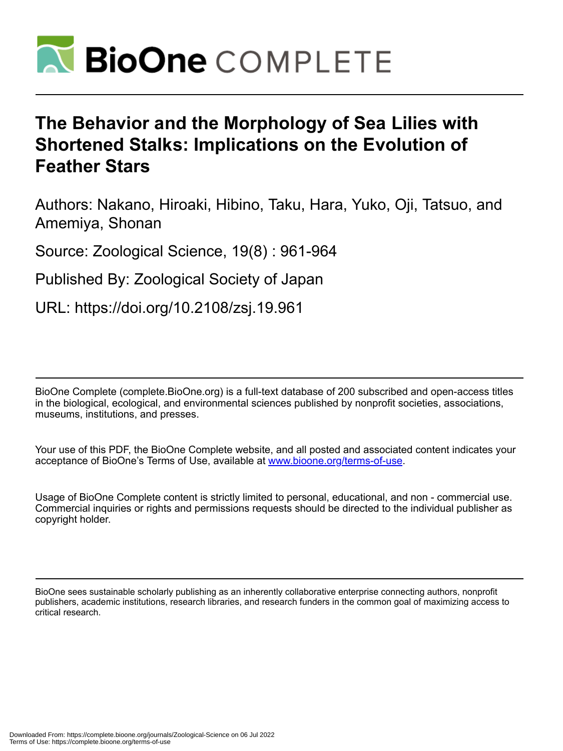

# **The Behavior and the Morphology of Sea Lilies with Shortened Stalks: Implications on the Evolution of Feather Stars**

Authors: Nakano, Hiroaki, Hibino, Taku, Hara, Yuko, Oji, Tatsuo, and Amemiya, Shonan

Source: Zoological Science, 19(8) : 961-964

Published By: Zoological Society of Japan

URL: https://doi.org/10.2108/zsj.19.961

BioOne Complete (complete.BioOne.org) is a full-text database of 200 subscribed and open-access titles in the biological, ecological, and environmental sciences published by nonprofit societies, associations, museums, institutions, and presses.

Your use of this PDF, the BioOne Complete website, and all posted and associated content indicates your acceptance of BioOne's Terms of Use, available at www.bioone.org/terms-of-use.

Usage of BioOne Complete content is strictly limited to personal, educational, and non - commercial use. Commercial inquiries or rights and permissions requests should be directed to the individual publisher as copyright holder.

BioOne sees sustainable scholarly publishing as an inherently collaborative enterprise connecting authors, nonprofit publishers, academic institutions, research libraries, and research funders in the common goal of maximizing access to critical research.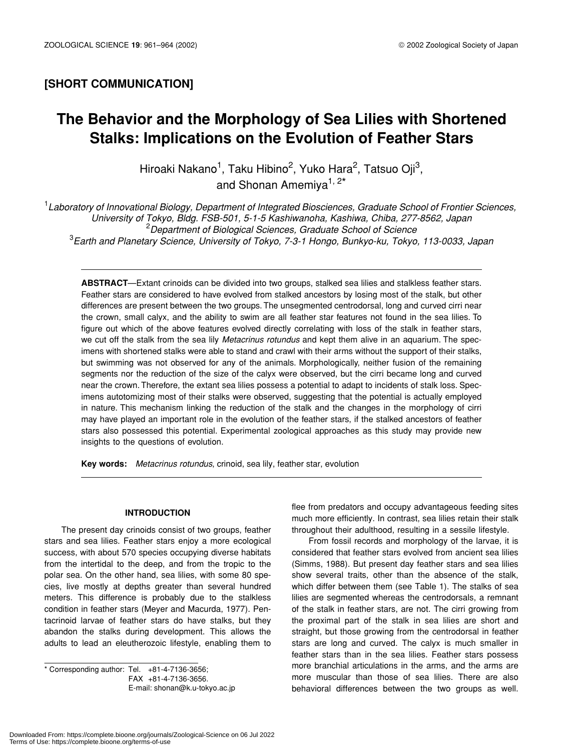### **[SHORT COMMUNICATION]**

## **The Behavior and the Morphology of Sea Lilies with Shortened Stalks: Implications on the Evolution of Feather Stars**

Hiroaki Nakano<sup>1</sup>, Taku Hibino<sup>2</sup>, Yuko Hara<sup>2</sup>, Tatsuo Oji<sup>3</sup>, and Shonan Amemiya $1, 2^*$ 

 *Laboratory of Innovational Biology, Department of Integrated Biosciences, Graduate School of Frontier Sciences, University of Tokyo, Bldg. FSB-501, 5-1-5 Kashiwanoha, Kashiwa, Chiba, 277-8562, Japan Department of Biological Sciences, Graduate School of Science Earth and Planetary Science, University of Tokyo, 7-3-1 Hongo, Bunkyo-ku, Tokyo, 113-0033, Japan*

**ABSTRACT**—Extant crinoids can be divided into two groups, stalked sea lilies and stalkless feather stars. Feather stars are considered to have evolved from stalked ancestors by losing most of the stalk, but other differences are present between the two groups. The unsegmented centrodorsal, long and curved cirri near the crown, small calyx, and the ability to swim are all feather star features not found in the sea lilies. To figure out which of the above features evolved directly correlating with loss of the stalk in feather stars, we cut off the stalk from the sea lily *Metacrinus rotundus* and kept them alive in an aquarium. The specimens with shortened stalks were able to stand and crawl with their arms without the support of their stalks, but swimming was not observed for any of the animals. Morphologically, neither fusion of the remaining segments nor the reduction of the size of the calyx were observed, but the cirri became long and curved near the crown. Therefore, the extant sea lilies possess a potential to adapt to incidents of stalk loss. Specimens autotomizing most of their stalks were observed, suggesting that the potential is actually employed in nature. This mechanism linking the reduction of the stalk and the changes in the morphology of cirri may have played an important role in the evolution of the feather stars, if the stalked ancestors of feather stars also possessed this potential. Experimental zoological approaches as this study may provide new insights to the questions of evolution.

**Key words:** *Metacrinus rotundus*, crinoid, sea lily, feather star, evolution

#### **INTRODUCTION**

The present day crinoids consist of two groups, feather stars and sea lilies. Feather stars enjoy a more ecological success, with about 570 species occupying diverse habitats from the intertidal to the deep, and from the tropic to the polar sea. On the other hand, sea lilies, with some 80 species, live mostly at depths greater than several hundred meters. This difference is probably due to the stalkless condition in feather stars (Meyer and Macurda, 1977). Pentacrinoid larvae of feather stars do have stalks, but they abandon the stalks during development. This allows the adults to lead an eleutherozoic lifestyle, enabling them to

\* Corresponding author: Tel. +81-4-7136-3656; FAX +81-4-7136-3656. E-mail: shonan@k.u-tokyo.ac.jp flee from predators and occupy advantageous feeding sites much more efficiently. In contrast, sea lilies retain their stalk throughout their adulthood, resulting in a sessile lifestyle.

From fossil records and morphology of the larvae, it is considered that feather stars evolved from ancient sea lilies (Simms, 1988). But present day feather stars and sea lilies show several traits, other than the absence of the stalk, which differ between them (see Table 1). The stalks of sea lilies are segmented whereas the centrodorsals, a remnant of the stalk in feather stars, are not. The cirri growing from the proximal part of the stalk in sea lilies are short and straight, but those growing from the centrodorsal in feather stars are long and curved. The calyx is much smaller in feather stars than in the sea lilies. Feather stars possess more branchial articulations in the arms, and the arms are more muscular than those of sea lilies. There are also behavioral differences between the two groups as well.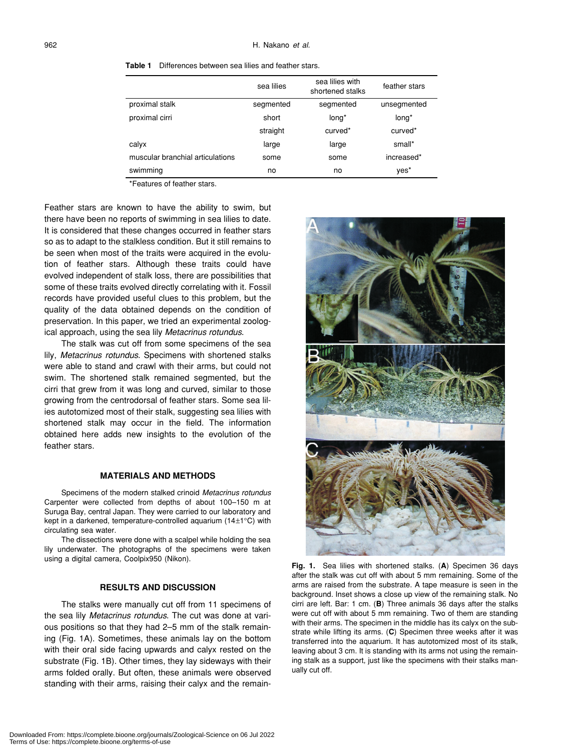|                                  | sea lilies | sea lilies with<br>shortened stalks | feather stars |
|----------------------------------|------------|-------------------------------------|---------------|
| proximal stalk                   | segmented  | segmented                           | unsegmented   |
| proximal cirri                   | short      | long*                               | long*         |
|                                  | straight   | curved <sup>*</sup>                 | curved*       |
| calyx                            | large      | large                               | small*        |
| muscular branchial articulations | some       | some                                | increased*    |
| swimming                         | no         | no                                  | yes*          |

**Table 1** Differences between sea lilies and feather stars.

\*Features of feather stars.

Feather stars are known to have the ability to swim, but there have been no reports of swimming in sea lilies to date. It is considered that these changes occurred in feather stars so as to adapt to the stalkless condition. But it still remains to be seen when most of the traits were acquired in the evolution of feather stars. Although these traits could have evolved independent of stalk loss, there are possibilities that some of these traits evolved directly correlating with it. Fossil records have provided useful clues to this problem, but the quality of the data obtained depends on the condition of preservation. In this paper, we tried an experimental zoological approach, using the sea lily *Metacrinus rotundus*.

The stalk was cut off from some specimens of the sea lily, *Metacrinus rotundus*. Specimens with shortened stalks were able to stand and crawl with their arms, but could not swim. The shortened stalk remained segmented, but the cirri that grew from it was long and curved, similar to those growing from the centrodorsal of feather stars. Some sea lilies autotomized most of their stalk, suggesting sea lilies with shortened stalk may occur in the field. The information obtained here adds new insights to the evolution of the feather stars.

#### **MATERIALS AND METHODS**

Specimens of the modern stalked crinoid *Metacrinus rotundus* Carpenter were collected from depths of about 100–150 m at Suruga Bay, central Japan. They were carried to our laboratory and kept in a darkened, temperature-controlled aquarium (14±1°C) with circulating sea water.

The dissections were done with a scalpel while holding the sea lily underwater. The photographs of the specimens were taken using a digital camera, Coolpix950 (Nikon).

#### **RESULTS AND DISCUSSION**

The stalks were manually cut off from 11 specimens of the sea lily *Metacrinus rotundus*. The cut was done at various positions so that they had 2–5 mm of the stalk remaining (Fig. 1A). Sometimes, these animals lay on the bottom with their oral side facing upwards and calyx rested on the substrate (Fig. 1B). Other times, they lay sideways with their arms folded orally. But often, these animals were observed standing with their arms, raising their calyx and the remain-



**Fig. 1.** Sea lilies with shortened stalks. (**A**) Specimen 36 days after the stalk was cut off with about 5 mm remaining. Some of the arms are raised from the substrate. A tape measure is seen in the background. Inset shows a close up view of the remaining stalk. No cirri are left. Bar: 1 cm. (**B**) Three animals 36 days after the stalks were cut off with about 5 mm remaining. Two of them are standing with their arms. The specimen in the middle has its calyx on the substrate while lifting its arms. (**C**) Specimen three weeks after it was transferred into the aquarium. It has autotomized most of its stalk, leaving about 3 cm. It is standing with its arms not using the remaining stalk as a support, just like the specimens with their stalks manually cut off.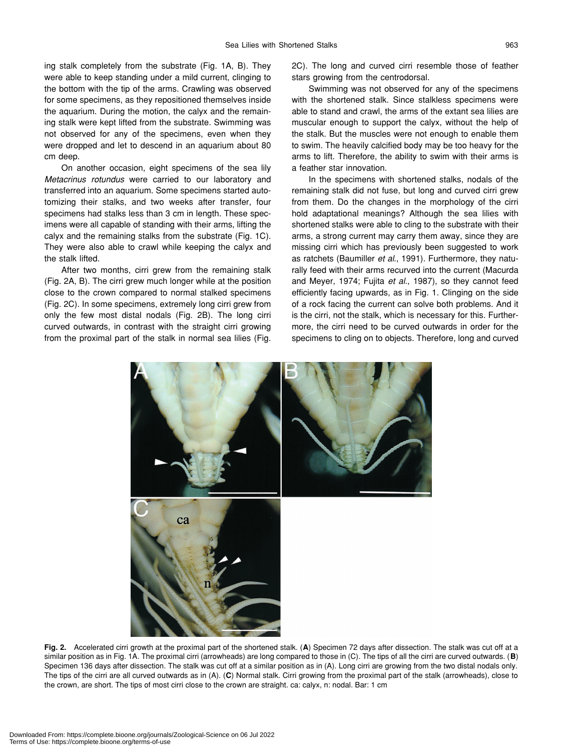ing stalk completely from the substrate (Fig. 1A, B). They were able to keep standing under a mild current, clinging to the bottom with the tip of the arms. Crawling was observed for some specimens, as they repositioned themselves inside the aquarium. During the motion, the calyx and the remaining stalk were kept lifted from the substrate. Swimming was not observed for any of the specimens, even when they were dropped and let to descend in an aquarium about 80 cm deep.

On another occasion, eight specimens of the sea lily *Metacrinus rotundus* were carried to our laboratory and transferred into an aquarium. Some specimens started autotomizing their stalks, and two weeks after transfer, four specimens had stalks less than 3 cm in length. These specimens were all capable of standing with their arms, lifting the calyx and the remaining stalks from the substrate (Fig. 1C). They were also able to crawl while keeping the calyx and the stalk lifted.

After two months, cirri grew from the remaining stalk (Fig. 2A, B). The cirri grew much longer while at the position close to the crown compared to normal stalked specimens (Fig. 2C). In some specimens, extremely long cirri grew from only the few most distal nodals (Fig. 2B). The long cirri curved outwards, in contrast with the straight cirri growing from the proximal part of the stalk in normal sea lilies (Fig. 2C). The long and curved cirri resemble those of feather stars growing from the centrodorsal.

Swimming was not observed for any of the specimens with the shortened stalk. Since stalkless specimens were able to stand and crawl, the arms of the extant sea lilies are muscular enough to support the calyx, without the help of the stalk. But the muscles were not enough to enable them to swim. The heavily calcified body may be too heavy for the arms to lift. Therefore, the ability to swim with their arms is a feather star innovation.

In the specimens with shortened stalks, nodals of the remaining stalk did not fuse, but long and curved cirri grew from them. Do the changes in the morphology of the cirri hold adaptational meanings? Although the sea lilies with shortened stalks were able to cling to the substrate with their arms, a strong current may carry them away, since they are missing cirri which has previously been suggested to work as ratchets (Baumiller *et al*., 1991). Furthermore, they naturally feed with their arms recurved into the current (Macurda and Meyer, 1974; Fujita *et al*., 1987), so they cannot feed efficiently facing upwards, as in Fig. 1. Clinging on the side of a rock facing the current can solve both problems. And it is the cirri, not the stalk, which is necessary for this. Furthermore, the cirri need to be curved outwards in order for the specimens to cling on to objects. Therefore, long and curved



**Fig. 2.** Accelerated cirri growth at the proximal part of the shortened stalk. (**A**) Specimen 72 days after dissection. The stalk was cut off at a similar position as in Fig. 1A. The proximal cirri (arrowheads) are long compared to those in (C). The tips of all the cirri are curved outwards. (**B**) Specimen 136 days after dissection. The stalk was cut off at a similar position as in (A). Long cirri are growing from the two distal nodals only. The tips of the cirri are all curved outwards as in (A). (**C**) Normal stalk. Cirri growing from the proximal part of the stalk (arrowheads), close to the crown, are short. The tips of most cirri close to the crown are straight. ca: calyx, n: nodal. Bar: 1 cm